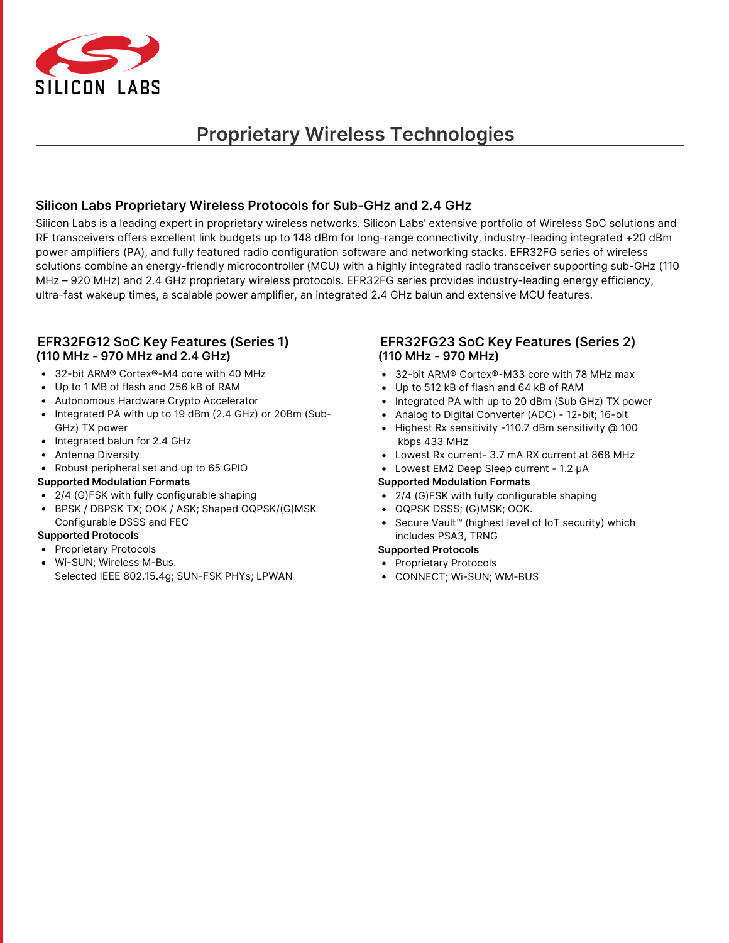

## **Proprietary Wireless Technologies**

### **Silicon Labs Proprietary Wireless Protocols for Sub-GHz and 2.4 GHz**

Silicon Labs is a leading expert in proprietary wireless networks. Silicon Labs' extensive portfolio of Wireless SoC solutions and RF transceivers offers excellent link budgets up to 148 dBm for long-range connectivity, industry-leading integrated +20 dBm power amplifiers (PA), and fully featured radio configuration software and networking stacks. EFR32FG series of wireless solutions combine an energy-friendly microcontroller (MCU) with a highly integrated radio transceiver supporting sub-GHz (110 MHz – 920 MHz) and 2.4 GHz proprietary wireless protocols. EFR32FG series provides industry-leading energy efficiency, ultra-fast wakeup times, a scalable power amplifier, an integrated 2.4 GHz balun and extensive MCU features.

# **(110 MHz - 970 MHz and 2.4 GHz) (110 MHz - 970 MHz)**

- 32-bit ARM® Cortex®-M4 core with 40 MHz
- Up to 1 MB of flash and 256 kB of RAM
- Autonomous Hardware Crypto Accelerator
- Integrated PA with up to 19 dBm (2.4 GHz) or 20Bm (Sub-GHz) TX power
- Integrated balun for 2.4 GHz
- Antenna Diversity
- Robust peripheral set and up to 65 GPIO

#### **Supported Modulation Formats**

- 2/4 (G)FSK with fully configurable shaping
- BPSK / DBPSK TX; OOK / ASK; Shaped OQPSK/(G)MSK Configurable DSSS and FEC

#### **Supported Protocols**

- Proprietary Protocols
- Wi-SUN; Wireless M-Bus. Selected IEEE 802.15.4g; SUN-FSK PHYs; LPWAN

# **EFR32FG12 SoC Key Features (Series 1) EFR32FG23 SoC Key Features (Series 2)**

- 32-bit ARM® Cortex®-M33 core with 78 MHz max
- Up to 512 kB of flash and 64 kB of RAM
- Integrated PA with up to 20 dBm (Sub GHz) TX power
- Analog to Digital Converter (ADC) 12-bit; 16-bit
- Highest Rx sensitivity -110.7 dBm sensitivity @ 100 kbps 433 MHz
- Lowest Rx current- 3.7 mA RX current at 868 MHz
- Lowest EM2 Deep Sleep current 1.2 μA

#### **Supported Modulation Formats**

- 2/4 (G)FSK with fully configurable shaping
- OQPSK DSSS; (G)MSK; OOK.
- Secure Vault™ (highest level of IoT security) which includes PSA3, TRNG

#### **Supported Protocols**

- Proprietary Protocols
- CONNECT; Wi-SUN; WM-BUS